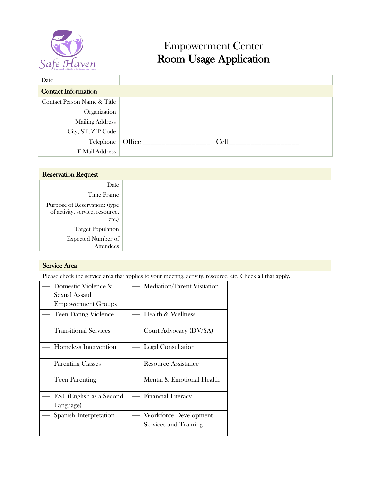

# Empowerment Center Room Usage Application

| Date                        |                |
|-----------------------------|----------------|
| <b>Contact Information</b>  |                |
| Contact Person Name & Title |                |
| Organization                |                |
| <b>Mailing Address</b>      |                |
| City, ST, ZIP Code          |                |
| Telephone                   | Office<br>Cell |
| <b>E-Mail Address</b>       |                |

## Reservation Request

| Date                                                                     |  |
|--------------------------------------------------------------------------|--|
| Time Frame                                                               |  |
| Purpose of Reservation: (type<br>of activity, service, resource,<br>etc. |  |
| <b>Target Population</b>                                                 |  |
| <b>Expected Number of</b><br>Attendees                                   |  |

### Service Area

Please check the service area that applies to your meeting, activity, resource, etc. Check all that apply.

| Domestic Violence &          | <b>Mediation/Parent Visitation</b>           |  |  |
|------------------------------|----------------------------------------------|--|--|
| Sexual Assault               |                                              |  |  |
| <b>Empowerment Groups</b>    |                                              |  |  |
| Teen Dating Violence         | <b>Health &amp; Wellness</b>                 |  |  |
| <b>Transitional Services</b> | — Court Advocacy (DV/SA)                     |  |  |
| Homeless Intervention        | Legal Consultation                           |  |  |
| — Parenting Classes          | <b>Resource Assistance</b>                   |  |  |
| <b>Teen Parenting</b>        | Mental & Emotional Health                    |  |  |
| ESL (English as a Second     | <b>Financial Literacy</b><br>$\qquad \qquad$ |  |  |
| Language)                    |                                              |  |  |
| Spanish Interpretation       | <b>Workforce Development</b>                 |  |  |
|                              | Services and Training                        |  |  |